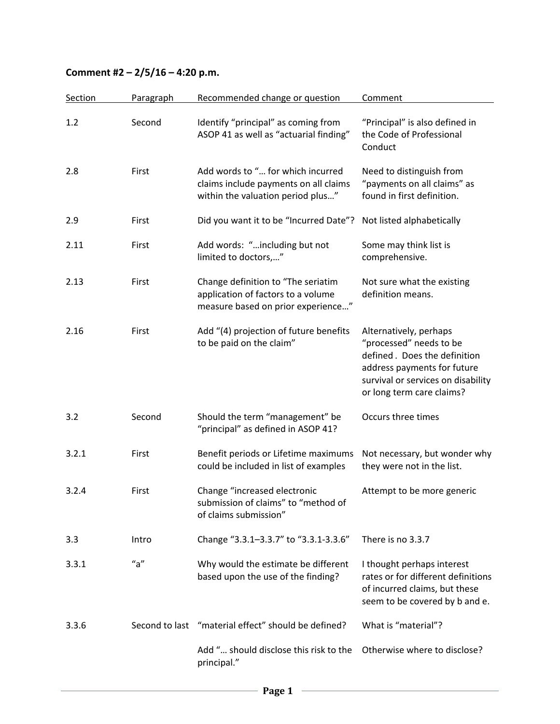## **Comment #2 – 2/5/16 – 4:20 p.m.**

| Section | Paragraph      | Recommended change or question                                                                                  | Comment                                                                                                                                                                             |
|---------|----------------|-----------------------------------------------------------------------------------------------------------------|-------------------------------------------------------------------------------------------------------------------------------------------------------------------------------------|
| 1.2     | Second         | Identify "principal" as coming from<br>ASOP 41 as well as "actuarial finding"                                   | "Principal" is also defined in<br>the Code of Professional<br>Conduct                                                                                                               |
| 2.8     | First          | Add words to " for which incurred<br>claims include payments on all claims<br>within the valuation period plus" | Need to distinguish from<br>"payments on all claims" as<br>found in first definition.                                                                                               |
| 2.9     | First          | Did you want it to be "Incurred Date"?                                                                          | Not listed alphabetically                                                                                                                                                           |
| 2.11    | First          | Add words: "including but not<br>limited to doctors,"                                                           | Some may think list is<br>comprehensive.                                                                                                                                            |
| 2.13    | First          | Change definition to "The seriatim<br>application of factors to a volume<br>measure based on prior experience"  | Not sure what the existing<br>definition means.                                                                                                                                     |
| 2.16    | First          | Add "(4) projection of future benefits<br>to be paid on the claim"                                              | Alternatively, perhaps<br>"processed" needs to be<br>defined. Does the definition<br>address payments for future<br>survival or services on disability<br>or long term care claims? |
| 3.2     | Second         | Should the term "management" be<br>"principal" as defined in ASOP 41?                                           | Occurs three times                                                                                                                                                                  |
| 3.2.1   | First          | Benefit periods or Lifetime maximums<br>could be included in list of examples                                   | Not necessary, but wonder why<br>they were not in the list.                                                                                                                         |
| 3.2.4   | First          | Change "increased electronic<br>submission of claims" to "method of<br>of claims submission"                    | Attempt to be more generic                                                                                                                                                          |
| 3.3     | Intro          | Change "3.3.1-3.3.7" to "3.3.1-3.3.6"                                                                           | There is no 3.3.7                                                                                                                                                                   |
| 3.3.1   | "a"            | Why would the estimate be different<br>based upon the use of the finding?                                       | I thought perhaps interest<br>rates or for different definitions<br>of incurred claims, but these<br>seem to be covered by b and e.                                                 |
| 3.3.6   | Second to last | "material effect" should be defined?                                                                            | What is "material"?                                                                                                                                                                 |
|         |                | Add " should disclose this risk to the<br>principal."                                                           | Otherwise where to disclose?                                                                                                                                                        |